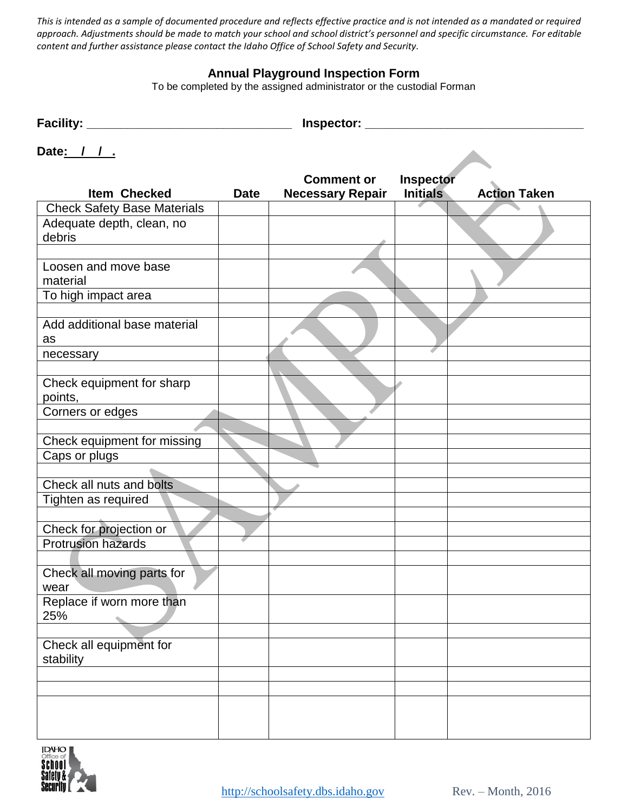*This is intended as a sample of documented procedure and reflects effective practice and is not intended as a mandated or required approach. Adjustments should be made to match your school and school district's personnel and specific circumstance. For editable content and further assistance please contact the Idaho Office of School Safety and Security.*

## **Annual Playground Inspection Form**

To be completed by the assigned administrator or the custodial Forman

| Facility: | Inspector: |
|-----------|------------|
| .         | __         |
|           |            |

| Date: |  |  |
|-------|--|--|

|                                    |             | <b>Comment or</b>       | <b>Inspector</b> |                     |
|------------------------------------|-------------|-------------------------|------------------|---------------------|
| <b>Item Checked</b>                | <b>Date</b> | <b>Necessary Repair</b> | <b>Initials</b>  | <b>Action Taken</b> |
| <b>Check Safety Base Materials</b> |             |                         |                  |                     |
| Adequate depth, clean, no          |             |                         |                  |                     |
| debris                             |             |                         |                  |                     |
|                                    |             |                         |                  |                     |
| Loosen and move base               |             |                         |                  |                     |
| material                           |             |                         |                  |                     |
| To high impact area                |             |                         |                  |                     |
|                                    |             |                         |                  |                     |
| Add additional base material       |             |                         |                  |                     |
| as                                 |             |                         |                  |                     |
| necessary                          |             |                         |                  |                     |
|                                    |             |                         |                  |                     |
| Check equipment for sharp          |             |                         |                  |                     |
| points,                            |             |                         |                  |                     |
| Corners or edges                   |             |                         |                  |                     |
|                                    |             |                         |                  |                     |
| Check equipment for missing        |             |                         |                  |                     |
| Caps or plugs                      |             |                         |                  |                     |
|                                    |             |                         |                  |                     |
| Check all nuts and bolts           |             |                         |                  |                     |
| Tighten as required                |             |                         |                  |                     |
|                                    |             |                         |                  |                     |
| Check for projection or            |             |                         |                  |                     |
| <b>Protrusion hazards</b>          |             |                         |                  |                     |
|                                    |             |                         |                  |                     |
| Check all moving parts for         |             |                         |                  |                     |
| wear                               |             |                         |                  |                     |
| Replace if worn more than          |             |                         |                  |                     |
| 25%<br>۰                           |             |                         |                  |                     |
|                                    |             |                         |                  |                     |
| Check all equipment for            |             |                         |                  |                     |
| stability                          |             |                         |                  |                     |
|                                    |             |                         |                  |                     |
|                                    |             |                         |                  |                     |
|                                    |             |                         |                  |                     |
|                                    |             |                         |                  |                     |
|                                    |             |                         |                  |                     |
|                                    |             |                         |                  |                     |